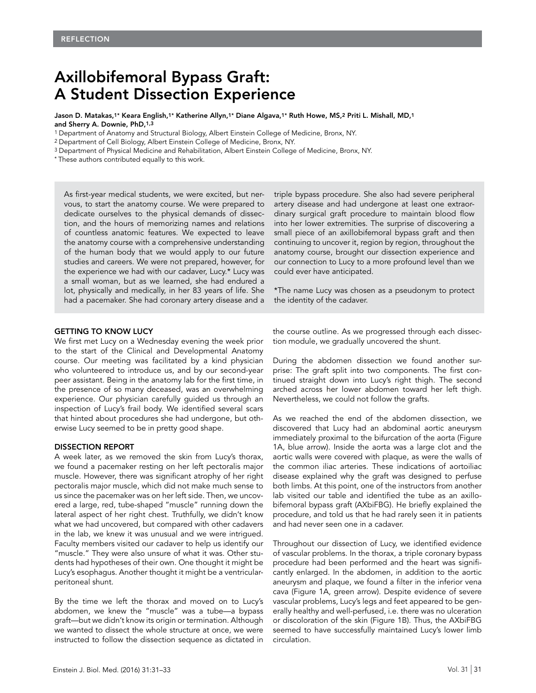# Axillobifemoral Bypass Graft: A Student Dissection Experience

Jason D. Matakas,1\* Keara English,1\* Katherine Allyn,1\* Diane Algava,1\* Ruth Howe, MS,2 Priti L. Mishall, MD,1 and Sherry A. Downie, PhD,1,3

1 Department of Anatomy and Structural Biology, Albert Einstein College of Medicine, Bronx, NY.

2 Department of Cell Biology, Albert Einstein College of Medicine, Bronx, NY.

3 Department of Physical Medicine and Rehabilitation, Albert Einstein College of Medicine, Bronx, NY.

\* These authors contributed equally to this work.

As first-year medical students, we were excited, but nervous, to start the anatomy course. We were prepared to dedicate ourselves to the physical demands of dissection, and the hours of memorizing names and relations of countless anatomic features. We expected to leave the anatomy course with a comprehensive understanding of the human body that we would apply to our future studies and careers. We were not prepared, however, for the experience we had with our cadaver, Lucy.\* Lucy was a small woman, but as we learned, she had endured a lot, physically and medically, in her 83 years of life. She had a pacemaker. She had coronary artery disease and a triple bypass procedure. She also had severe peripheral artery disease and had undergone at least one extraordinary surgical graft procedure to maintain blood flow into her lower extremities. The surprise of discovering a small piece of an axillobifemoral bypass graft and then continuing to uncover it, region by region, throughout the anatomy course, brought our dissection experience and our connection to Lucy to a more profound level than we could ever have anticipated.

\*The name Lucy was chosen as a pseudonym to protect the identity of the cadaver.

### GETTING TO KNOW LUCY

We first met Lucy on a Wednesday evening the week prior to the start of the Clinical and Developmental Anatomy course. Our meeting was facilitated by a kind physician who volunteered to introduce us, and by our second-year peer assistant. Being in the anatomy lab for the first time, in the presence of so many deceased, was an overwhelming experience. Our physician carefully guided us through an inspection of Lucy's frail body. We identified several scars that hinted about procedures she had undergone, but otherwise Lucy seemed to be in pretty good shape.

#### DISSECTION REPORT

A week later, as we removed the skin from Lucy's thorax, we found a pacemaker resting on her left pectoralis major muscle. However, there was significant atrophy of her right pectoralis major muscle, which did not make much sense to us since the pacemaker was on her left side. Then, we uncovered a large, red, tube-shaped "muscle" running down the lateral aspect of her right chest. Truthfully, we didn't know what we had uncovered, but compared with other cadavers in the lab, we knew it was unusual and we were intrigued. Faculty members visited our cadaver to help us identify our "muscle." They were also unsure of what it was. Other students had hypotheses of their own. One thought it might be Lucy's esophagus. Another thought it might be a ventricularperitoneal shunt.

By the time we left the thorax and moved on to Lucy's abdomen, we knew the "muscle" was a tube—a bypass graft—but we didn't know its origin or termination. Although we wanted to dissect the whole structure at once, we were instructed to follow the dissection sequence as dictated in

the course outline. As we progressed through each dissection module, we gradually uncovered the shunt.

During the abdomen dissection we found another surprise: The graft split into two components. The first continued straight down into Lucy's right thigh. The second arched across her lower abdomen toward her left thigh. Nevertheless, we could not follow the grafts.

As we reached the end of the abdomen dissection, we discovered that Lucy had an abdominal aortic aneurysm immediately proximal to the bifurcation of the aorta (Figure 1A, blue arrow). Inside the aorta was a large clot and the aortic walls were covered with plaque, as were the walls of the common iliac arteries. These indications of aortoiliac disease explained why the graft was designed to perfuse both limbs. At this point, one of the instructors from another lab visited our table and identified the tube as an axillobifemoral bypass graft (AXbiFBG). He briefly explained the procedure, and told us that he had rarely seen it in patients and had never seen one in a cadaver.

Throughout our dissection of Lucy, we identified evidence of vascular problems. In the thorax, a triple coronary bypass procedure had been performed and the heart was significantly enlarged. In the abdomen, in addition to the aortic aneurysm and plaque, we found a filter in the inferior vena cava (Figure 1A, green arrow). Despite evidence of severe vascular problems, Lucy's legs and feet appeared to be generally healthy and well-perfused, i.e. there was no ulceration or discoloration of the skin (Figure 1B). Thus, the AXbiFBG seemed to have successfully maintained Lucy's lower limb circulation.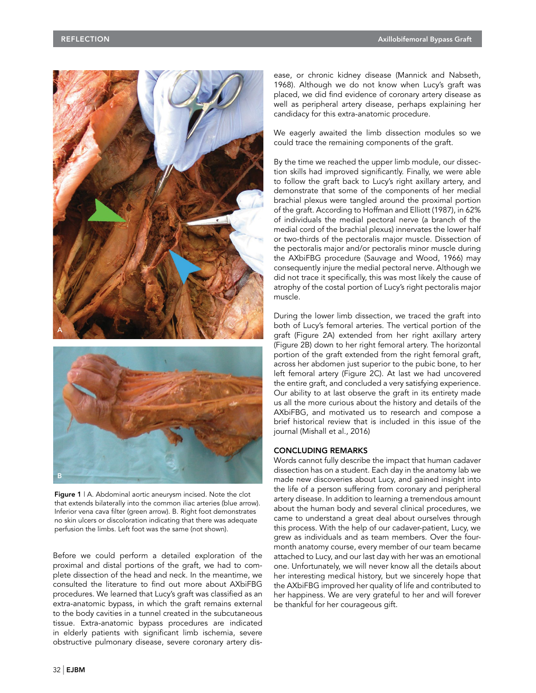

Figure 1 | A. Abdominal aortic aneurysm incised. Note the clot that extends bilaterally into the common iliac arteries (blue arrow). Inferior vena cava filter (green arrow). B. Right foot demonstrates no skin ulcers or discoloration indicating that there was adequate perfusion the limbs. Left foot was the same (not shown).

Before we could perform a detailed exploration of the proximal and distal portions of the graft, we had to complete dissection of the head and neck. In the meantime, we consulted the literature to find out more about AXbiFBG procedures. We learned that Lucy's graft was classified as an extra-anatomic bypass, in which the graft remains external to the body cavities in a tunnel created in the subcutaneous tissue. Extra-anatomic bypass procedures are indicated in elderly patients with significant limb ischemia, severe obstructive pulmonary disease, severe coronary artery disease, or chronic kidney disease (Mannick and Nabseth, 1968). Although we do not know when Lucy's graft was placed, we did find evidence of coronary artery disease as well as peripheral artery disease, perhaps explaining her candidacy for this extra-anatomic procedure.

We eagerly awaited the limb dissection modules so we could trace the remaining components of the graft.

By the time we reached the upper limb module, our dissection skills had improved significantly. Finally, we were able to follow the graft back to Lucy's right axillary artery, and demonstrate that some of the components of her medial brachial plexus were tangled around the proximal portion of the graft. According to Hoffman and Elliott (1987), in 62% of individuals the medial pectoral nerve (a branch of the medial cord of the brachial plexus) innervates the lower half or two-thirds of the pectoralis major muscle. Dissection of the pectoralis major and/or pectoralis minor muscle during the AXbiFBG procedure (Sauvage and Wood, 1966) may consequently injure the medial pectoral nerve. Although we did not trace it specifically, this was most likely the cause of atrophy of the costal portion of Lucy's right pectoralis major muscle.

During the lower limb dissection, we traced the graft into both of Lucy's femoral arteries. The vertical portion of the graft (Figure 2A) extended from her right axillary artery (Figure 2B) down to her right femoral artery. The horizontal portion of the graft extended from the right femoral graft, across her abdomen just superior to the pubic bone, to her left femoral artery (Figure 2C). At last we had uncovered the entire graft, and concluded a very satisfying experience. Our ability to at last observe the graft in its entirety made us all the more curious about the history and details of the AXbiFBG, and motivated us to research and compose a brief historical review that is included in this issue of the journal (Mishall et al., 2016)

## CONCLUDING REMARKS

Words cannot fully describe the impact that human cadaver dissection has on a student. Each day in the anatomy lab we made new discoveries about Lucy, and gained insight into the life of a person suffering from coronary and peripheral artery disease. In addition to learning a tremendous amount about the human body and several clinical procedures, we came to understand a great deal about ourselves through this process. With the help of our cadaver-patient, Lucy, we grew as individuals and as team members. Over the fourmonth anatomy course, every member of our team became attached to Lucy, and our last day with her was an emotional one. Unfortunately, we will never know all the details about her interesting medical history, but we sincerely hope that the AXbiFBG improved her quality of life and contributed to her happiness. We are very grateful to her and will forever be thankful for her courageous gift.

B